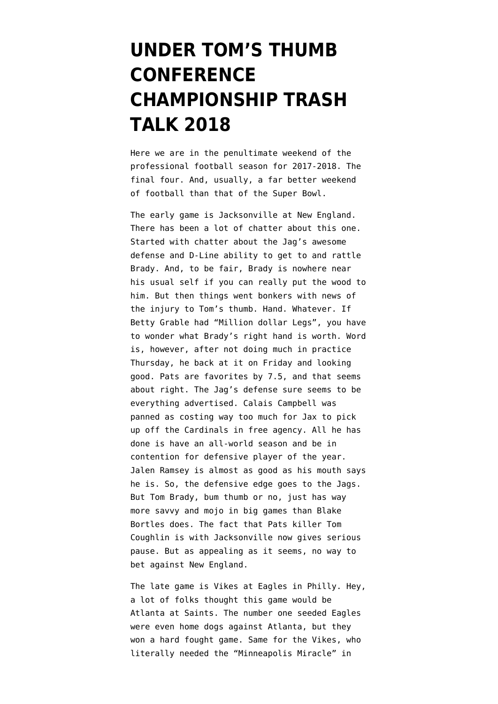## **[UNDER TOM'S THUMB](https://www.emptywheel.net/2018/01/20/under-toms-thumb-conference-championship-trash-talk-2018/) [CONFERENCE](https://www.emptywheel.net/2018/01/20/under-toms-thumb-conference-championship-trash-talk-2018/) [CHAMPIONSHIP TRASH](https://www.emptywheel.net/2018/01/20/under-toms-thumb-conference-championship-trash-talk-2018/) [TALK 2018](https://www.emptywheel.net/2018/01/20/under-toms-thumb-conference-championship-trash-talk-2018/)**

Here we are in the penultimate weekend of the professional football season for 2017-2018. The final four. And, usually, a far better weekend of football than that of the Super Bowl.

The early game is Jacksonville at New England. There has been a lot of chatter about this one. Started with chatter about the Jag's awesome defense and D-Line ability to get to and rattle Brady. And, to be fair, Brady is nowhere near his usual self if you can really put the wood to him. But then things went bonkers with news of [the injury to Tom's thumb.](http://www.espn.com/blog/new-england-patriots/post/_/id/4810646/what-is-going-on-with-tom-brady-throwing-hand) Hand. Whatever. If Betty Grable had "Million dollar Legs", you have to wonder what Brady's right hand is worth. Word is, however, after not doing much in practice Thursday, he back at it on Friday and looking good. Pats are favorites by 7.5, and that seems about right. The Jag's defense sure seems to be everything advertised. Calais Campbell was panned as costing way too much for Jax to pick up off the Cardinals in free agency. All he has done is have an all-world season and be in contention for defensive player of the year. Jalen Ramsey is almost as good as his mouth says he is. So, the defensive edge goes to the Jags. But Tom Brady, bum thumb or no, just has way more savvy and mojo in big games than Blake Bortles does. The fact that Pats killer Tom Coughlin is with Jacksonville now gives serious pause. But as appealing as it seems, no way to bet against New England.

The late game is Vikes at Eagles in Philly. Hey, a lot of folks thought this game would be Atlanta at Saints. The number one seeded Eagles were even home dogs against Atlanta, but they won a hard fought game. Same for the Vikes, who literally needed the "Minneapolis Miracle" in